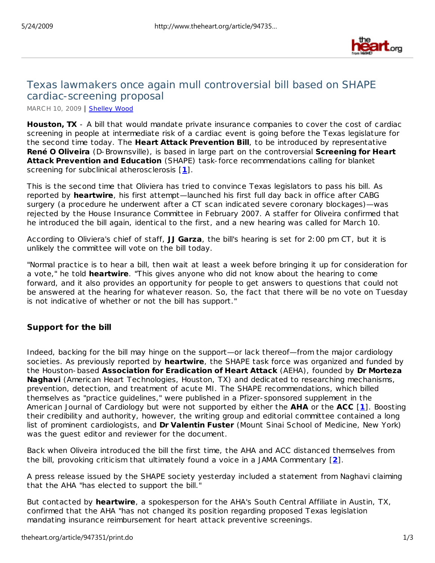

# Texas lawmakers once again mull controversial bill based on SHAPE cardiac-screening proposal

MARCH 10, 2009 | Shelley Wood

**Houston, TX** - A bill that would mandate private insurance companies to cover the cost of cardiac screening in people at intermediate risk of a cardiac event is going before the Texas legislature for the second time today. The **Heart Attack Prevention Bill**, to be introduced by representative **René O Oliveira** (D-Brownsville), is based in large part on the controversial **Screening for Heart Attack Prevention and Education** (SHAPE) task- force recommendations calling for blanket screening for subclinical atherosclerosis [**1**].

This is the second time that Oliviera has tried to convince Texas legislators to pass his bill. As reported by **heart***wire*, his first attempt—launched his first full day back in office after CABG surgery (a procedure he underwent after a CT scan indicated severe coronary blockages)—was rejected by the House Insurance Committee in February 2007. A staffer for Oliveira confirmed that he introduced the bill again, identical to the first, and a new hearing was called for March 10.

According to Oliviera's chief of staff, **JJ Garza**, the bill's hearing is set for 2:00 pm CT, but it is unlikely the committee will vote on the bill today.

"Normal practice is to hear a bill, then wait at least a week before bringing it up for consideration for a vote," he told **heart***wire*. "This gives anyone who did not know about the hearing to come forward, and it also provides an opportunity for people to get answers to questions that could not be answered at the hearing for whatever reason. So, the fact that there will be no vote on Tuesday is not indicative of whether or not the bill has support."

# **Support for the bill**

Indeed, backing for the bill may hinge on the support—or lack thereof—from the major cardiology societies. As previously reported by **heart***wire*, the SHAPE task force was organized and funded by the Houston-based **Association for Eradication of Heart Attack** (AEHA), founded by **Dr Morteza Naghavi** (American Heart Technologies, Houston, TX) and dedicated to researching mechanisms, prevention, detection, and treatment of acute MI. The SHAPE recommendations, which billed themselves as "practice guidelines," were published in a Pfizer-sponsored supplement in the *American Journal of Cardiology* but were not supported by either the **AHA** or the **ACC** [**1**]. Boosting their credibility and authority, however, the writing group and editorial committee contained a long list of prominent cardiologists, and **Dr Valentin Fuster** (Mount Sinai School of Medicine, New York) was the guest editor and reviewer for the document.

Back when Oliveira introduced the bill the first time, the AHA and ACC distanced themselves from the bill, provoking criticism that ultimately found a voice in a *JAMA* Commentary [**2**].

A press release issued by the SHAPE society yesterday included a statement from Naghavi claiming that the AHA "has elected to support the bill."

But contacted by **heart***wire*, a spokesperson for the AHA's South Central Affiliate in Austin, TX, confirmed that the AHA "has not changed its position regarding proposed Texas legislation mandating insurance reimbursement for heart attack preventive screenings.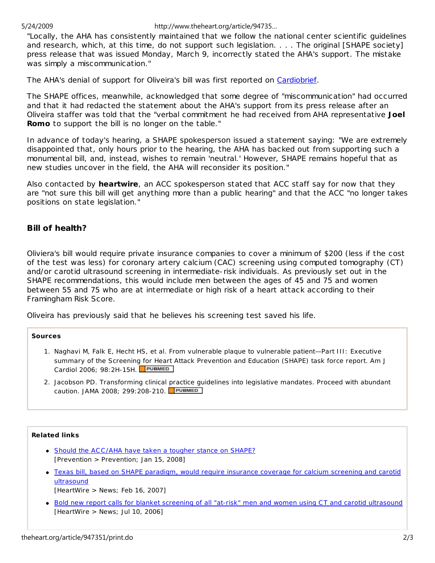5/24/2009 http://www.theheart.org/article/94735…

"Locally, the AHA has consistently maintained that we follow the national center scientific guidelines and research, which, at this time, do not support such legislation. . . . The original [SHAPE society] press release that was issued Monday, March 9, incorrectly stated the AHA's support. The mistake was simply a miscommunication."

The AHA's denial of support for Oliveira's bill was first reported on Cardiobrief.

The SHAPE offices, meanwhile, acknowledged that some degree of "miscommunication" had occurred and that it had redacted the statement about the AHA's support from its press release after an Oliveira staffer was told that the "verbal commitment he had received from AHA representative **Joel Romo** to support the bill is no longer on the table."

In advance of today's hearing, a SHAPE spokesperson issued a statement saying: "We are extremely disappointed that, only hours prior to the hearing, the AHA has backed out from supporting such a monumental bill, and, instead, wishes to remain 'neutral.' However, SHAPE remains hopeful that as new studies uncover in the field, the AHA will reconsider its position."

Also contacted by **heart***wire*, an ACC spokesperson stated that ACC staff say for now that they are "not sure this bill will get anything more than a public hearing" and that the ACC "no longer takes positions on state legislation."

# **Bill of health?**

Oliviera's bill would require private insurance companies to cover a minimum of \$200 (less if the cost of the test was less) for coronary artery calcium (CAC) screening using computed tomography (CT) and/or carotid ultrasound screening in intermediate-risk individuals. As previously set out in the SHAPE recommendations, this would include men between the ages of 45 and 75 and women between 55 and 75 who are at intermediate or high risk of a heart attack according to their Framingham Risk Score.

Oliveira has previously said that he believes his screening test saved his life.

### **Sources**

- 1. Naghavi M, Falk E, Hecht HS, et al. From vulnerable plaque to vulnerable patient—Part III: Executive summary of the Screening for Heart Attack Prevention and Education (SHAPE) task force report. *Am J Cardiol* 2006; 98:2H-15H.
- 2. Jacobson PD. Transforming clinical practice guidelines into legislative mandates. Proceed with abundant caution. *JAMA* 2008; 299:208-210.

### **Related links**

- Should the ACC /AHA have taken a tougher stance on SHAPE? [*Prevention > Prevention*; Jan 15, 2008]
- Texas bill, based on SHAPE paradigm, would require insurance coverage for calcium screening and carotid **ultrasound** [*HeartWire > News*; Feb 16, 2007]
- Bold new report calls for blanket screening of all "at-risk" men and women using CT and carotid ultrasound [*HeartWire > News*; Jul 10, 2006]